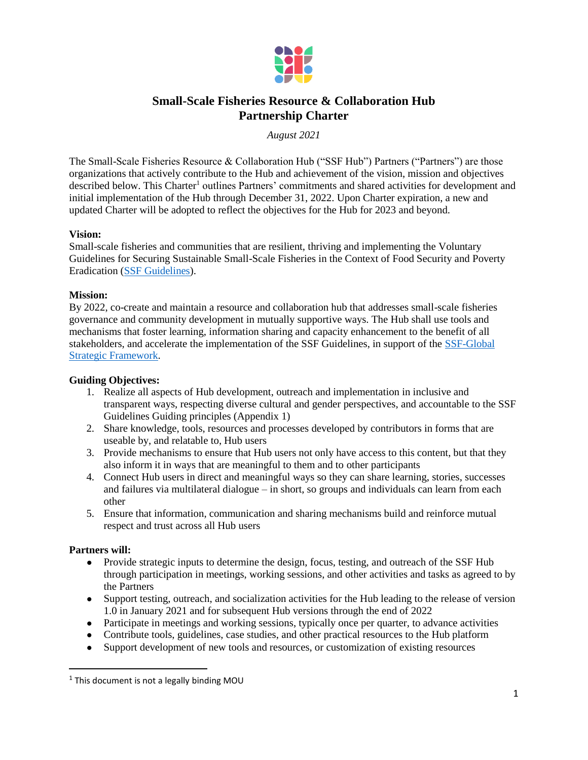

# **Small-Scale Fisheries Resource & Collaboration Hub Partnership Charter**

*August 2021*

The Small-Scale Fisheries Resource & Collaboration Hub ("SSF Hub") Partners ("Partners") are those organizations that actively contribute to the Hub and achievement of the vision, mission and objectives described below. This Charter<sup>1</sup> outlines Partners' commitments and shared activities for development and initial implementation of the Hub through December 31, 2022. Upon Charter expiration, a new and updated Charter will be adopted to reflect the objectives for the Hub for 2023 and beyond.

# **Vision:**

Small-scale fisheries and communities that are resilient, thriving and implementing the Voluntary Guidelines for Securing Sustainable Small-Scale Fisheries in the Context of Food Security and Poverty Eradication [\(SSF Guidelines\)](http://www.fao.org/voluntary-guidelines-small-scale-fisheries/en/).

# **Mission:**

By 2022, co-create and maintain a resource and collaboration hub that addresses small-scale fisheries governance and community development in mutually supportive ways. The Hub shall use tools and mechanisms that foster learning, information sharing and capacity enhancement to the benefit of all stakeholders, and accelerate the implementation of the SSF Guidelines, in support of the [SSF-Global](http://www.fao.org/voluntary-guidelines-small-scale-fisheries/resources/detail/en/c/1268316)  [Strategic Framework.](http://www.fao.org/voluntary-guidelines-small-scale-fisheries/resources/detail/en/c/1268316)

# **Guiding Objectives:**

- 1. Realize all aspects of Hub development, outreach and implementation in inclusive and transparent ways, respecting diverse cultural and gender perspectives, and accountable to the SSF Guidelines Guiding principles (Appendix 1)
- 2. Share knowledge, tools, resources and processes developed by contributors in forms that are useable by, and relatable to, Hub users
- 3. Provide mechanisms to ensure that Hub users not only have access to this content, but that they also inform it in ways that are meaningful to them and to other participants
- 4. Connect Hub users in direct and meaningful ways so they can share learning, stories, successes and failures via multilateral dialogue – in short, so groups and individuals can learn from each other
- 5. Ensure that information, communication and sharing mechanisms build and reinforce mutual respect and trust across all Hub users

# **Partners will:**

 $\overline{a}$ 

- Provide strategic inputs to determine the design, focus, testing, and outreach of the SSF Hub through participation in meetings, working sessions, and other activities and tasks as agreed to by the Partners
- Support testing, outreach, and socialization activities for the Hub leading to the release of version 1.0 in January 2021 and for subsequent Hub versions through the end of 2022
- Participate in meetings and working sessions, typically once per quarter, to advance activities
- Contribute tools, guidelines, case studies, and other practical resources to the Hub platform
- Support development of new tools and resources, or customization of existing resources

 $<sup>1</sup>$  This document is not a legally binding MOU</sup>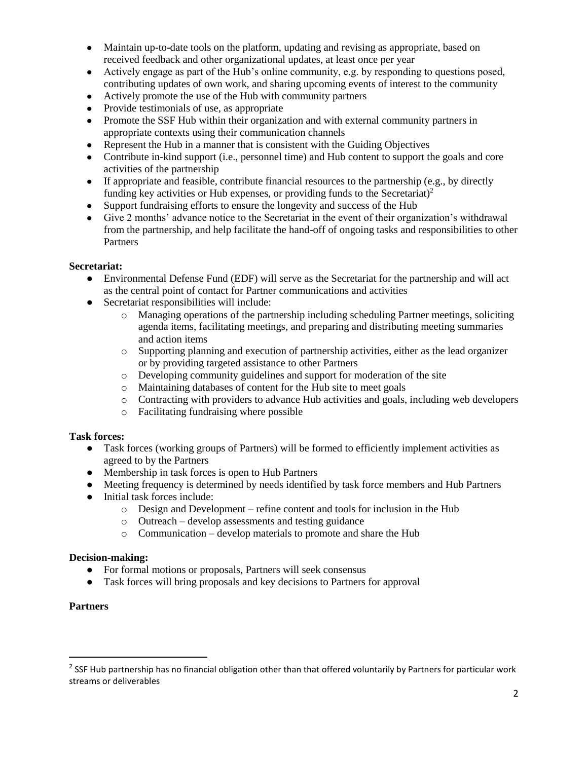- Maintain up-to-date tools on the platform, updating and revising as appropriate, based on received feedback and other organizational updates, at least once per year
- Actively engage as part of the Hub's online community, e.g. by responding to questions posed, contributing updates of own work, and sharing upcoming events of interest to the community
- Actively promote the use of the Hub with community partners
- Provide testimonials of use, as appropriate
- Promote the SSF Hub within their organization and with external community partners in appropriate contexts using their communication channels
- Represent the Hub in a manner that is consistent with the Guiding Objectives
- Contribute in-kind support (i.e., personnel time) and Hub content to support the goals and core activities of the partnership
- If appropriate and feasible, contribute financial resources to the partnership (e.g., by directly funding key activities or Hub expenses, or providing funds to the Secretariat)<sup>2</sup>
- Support fundraising efforts to ensure the longevity and success of the Hub
- Give 2 months' advance notice to the Secretariat in the event of their organization's withdrawal from the partnership, and help facilitate the hand-off of ongoing tasks and responsibilities to other Partners

### **Secretariat:**

- Environmental Defense Fund (EDF) will serve as the Secretariat for the partnership and will act as the central point of contact for Partner communications and activities
- Secretariat responsibilities will include:
	- o Managing operations of the partnership including scheduling Partner meetings, soliciting agenda items, facilitating meetings, and preparing and distributing meeting summaries and action items
	- o Supporting planning and execution of partnership activities, either as the lead organizer or by providing targeted assistance to other Partners
	- o Developing community guidelines and support for moderation of the site
	- o Maintaining databases of content for the Hub site to meet goals
	- o Contracting with providers to advance Hub activities and goals, including web developers
	- o Facilitating fundraising where possible

### **Task forces:**

- Task forces (working groups of Partners) will be formed to efficiently implement activities as agreed to by the Partners
- Membership in task forces is open to Hub Partners
- Meeting frequency is determined by needs identified by task force members and Hub Partners
- Initial task forces include:
	- o Design and Development refine content and tools for inclusion in the Hub
	- o Outreach develop assessments and testing guidance
	- o Communication develop materials to promote and share the Hub

### **Decision-making:**

- For formal motions or proposals, Partners will seek consensus
- Task forces will bring proposals and key decisions to Partners for approval

### **Partners**

 $\overline{\phantom{a}}$ 

 $^2$  SSF Hub partnership has no financial obligation other than that offered voluntarily by Partners for particular work streams or deliverables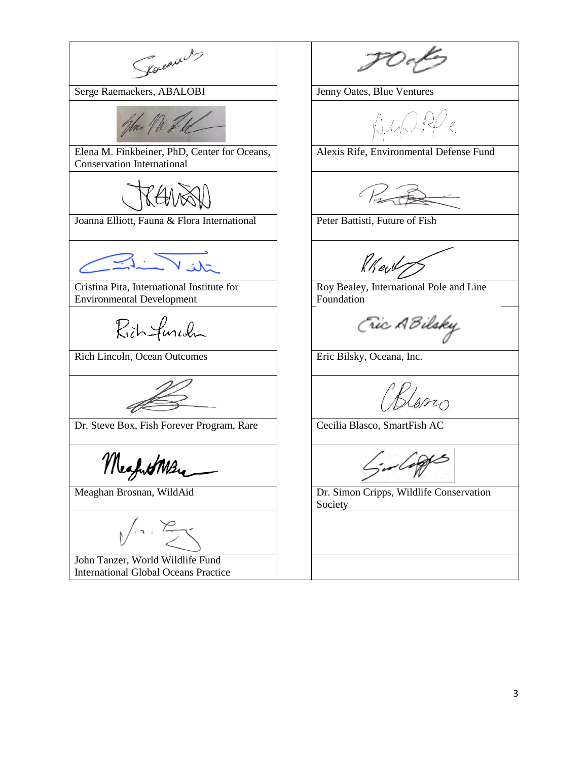Kounach, Serge Raemaekers, ABALOBI | Jenny Oates, Blue Ventures John M. J Elena M. Finkbeiner, PhD, Center for Oceans, Alexis Rife, Environmental Defense Fund Conservation International KENS Joanna Elliott, Fauna & Flora International Peter Battisti, Future of Fish Rkeut Roy Bealey, International Pole and Line Cristina Pita, International Institute for Environmental Development Foundation Fic ABilsky Richfunch Rich Lincoln, Ocean Outcomes Friedmann School (Eric Bilsky, Oceana, Inc. Klario Dr. Steve Box, Fish Forever Program, Rare Cecilia Blasco, SmartFish AC in Coppes MesfutMere Meaghan Brosnan, WildAid **Dr. Simon Cripps, Wildlife Conservation** Society John Tanzer, World Wildlife Fund International Global Oceans Practice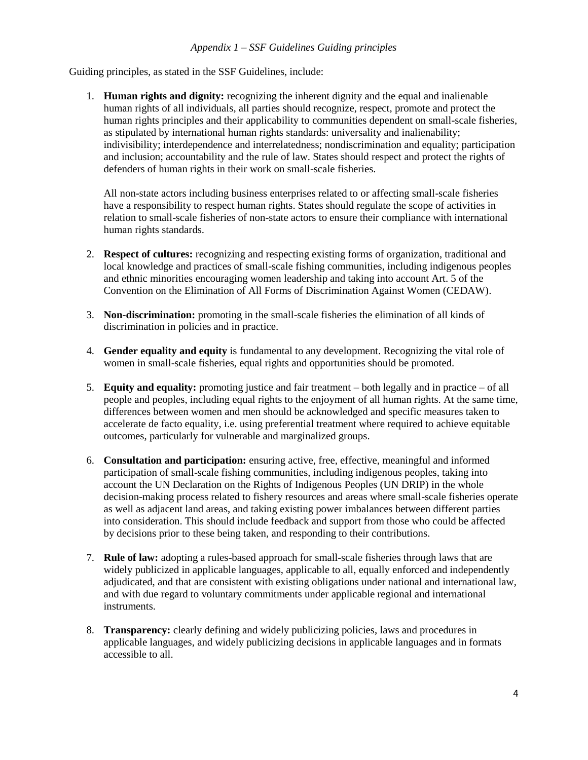Guiding principles, as stated in the SSF Guidelines, include:

1. **Human rights and dignity:** recognizing the inherent dignity and the equal and inalienable human rights of all individuals, all parties should recognize, respect, promote and protect the human rights principles and their applicability to communities dependent on small-scale fisheries, as stipulated by international human rights standards: universality and inalienability; indivisibility; interdependence and interrelatedness; nondiscrimination and equality; participation and inclusion; accountability and the rule of law. States should respect and protect the rights of defenders of human rights in their work on small-scale fisheries.

All non-state actors including business enterprises related to or affecting small-scale fisheries have a responsibility to respect human rights. States should regulate the scope of activities in relation to small-scale fisheries of non-state actors to ensure their compliance with international human rights standards.

- 2. **Respect of cultures:** recognizing and respecting existing forms of organization, traditional and local knowledge and practices of small-scale fishing communities, including indigenous peoples and ethnic minorities encouraging women leadership and taking into account Art. 5 of the Convention on the Elimination of All Forms of Discrimination Against Women (CEDAW).
- 3. **Non-discrimination:** promoting in the small-scale fisheries the elimination of all kinds of discrimination in policies and in practice.
- 4. **Gender equality and equity** is fundamental to any development. Recognizing the vital role of women in small-scale fisheries, equal rights and opportunities should be promoted.
- 5. **Equity and equality:** promoting justice and fair treatment both legally and in practice of all people and peoples, including equal rights to the enjoyment of all human rights. At the same time, differences between women and men should be acknowledged and specific measures taken to accelerate de facto equality, i.e. using preferential treatment where required to achieve equitable outcomes, particularly for vulnerable and marginalized groups.
- 6. **Consultation and participation:** ensuring active, free, effective, meaningful and informed participation of small-scale fishing communities, including indigenous peoples, taking into account the UN Declaration on the Rights of Indigenous Peoples (UN DRIP) in the whole decision-making process related to fishery resources and areas where small-scale fisheries operate as well as adjacent land areas, and taking existing power imbalances between different parties into consideration. This should include feedback and support from those who could be affected by decisions prior to these being taken, and responding to their contributions.
- 7. **Rule of law:** adopting a rules-based approach for small-scale fisheries through laws that are widely publicized in applicable languages, applicable to all, equally enforced and independently adjudicated, and that are consistent with existing obligations under national and international law, and with due regard to voluntary commitments under applicable regional and international instruments.
- 8. **Transparency:** clearly defining and widely publicizing policies, laws and procedures in applicable languages, and widely publicizing decisions in applicable languages and in formats accessible to all.